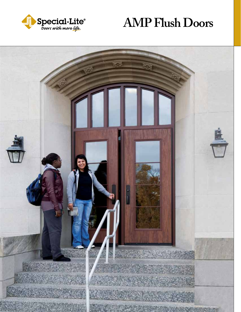

# **AMP Flush Doors**

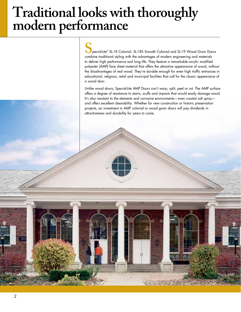# **Traditional looks with thoroughly modern performance**

**S**<br>pecial-Lite® SL-18 Colonial, SL-18S Smooth Colonial and SL-19 Wood Grain Doc<br>combine traditional styling with the advantages of modern engineering and materials pecial-Lite® SL-18 Colonial, SL-18S Smooth Colonial and SL-19 Wood Grain Doors to deliver high performance and long life. They feature a remarkable acrylic modified polyester (AMP) face sheet material that offers the attractive appearance of wood, without the disadvantages of real wood. They're durable enough for even high traffic entrances in educational, religious, retail and municipal facilities that call for the classic appearance of a wood door.

Unlike wood doors, Special-Lite AMP Doors can't warp, split, peel or rot. The AMP surface offers a degree of resistance to stains, scuffs and impacts that would easily damage wood. It's also resistant to the elements and corrosive environments—even coastal salt spray and offers excellent cleanability. Whether for new construction or historic preservation projects, an investment in AMP colonial or wood grain doors will pay dividends in attractiveness and durability for years to come.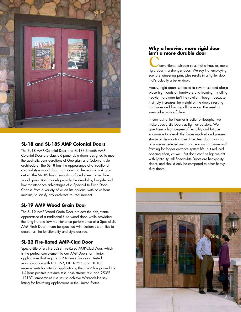

#### **SL-18 and SL-18S AMP Colonial Doors**

The SL-18 AMP Colonial Door and SL-18S Smooth AMP Colonial Door are classic 6-panel style doors designed to meet the aesthetic considerations of Georgian and Colonial style architecture. The SL-18 has the appearance of a traditional colonial style wood door, right down to the realistic oak grain detail. The SL-18S has a smooth surfaced sheet rather than wood grain. Both models provide the durability, long-life and low maintenance advantages of a Special-Lite Flush Door. Choose from a variety of vision lite options, with or without muntins, to satisfy any architectural requirement.

#### **SL-19 AMP Wood Grain Door**

The SL-19 AMP Wood Grain Door projects the rich, warm appearance of a traditional flush wood door, while providing the long-life and low maintenance performance of a Special-Lite AMP Flush Door. It can be specified with custom vision lites to create just the functionality and style desired.

#### **SL-22 Fire-Rated AMP-Clad Door**

Special-Lite offers the SL-22 Fire-Rated AMP-Clad Door, which is the perfect complement to our AMP Doors for interior applications that require a 90-minute fire door. Tested in accordance with UBC 7-2, NFPA 225, and UL 10C requirements for interior applications, the SL-22 has passed the 11 ⁄2 hour positive pressure test, hose stream test, and 250°F (121°C) temperature rise test to achieve Warnock Hersey listing for fire-rating applications in the United States.

#### **Why a heavier, more rigid door isn't a more durable door**

**Conventional wisdom says that a heavier, more**<br>
rigid door is a stronger door. We say that employing sound engineering principles results in a lighter door that's actually a better door.

Heavy, rigid doors subjected to severe use and abuse place high loads on hardware and framing. Installing heavier hardware isn't the solution, though, because it simply increases the weight of the door, stressing hardware and framing all the more. The result is eventual entrance failure.

In contrast to the Heavier is Better philosophy, we make Special-Lite Doors as light as possible. We give them a high degree of flexibility and fatigue endurance to absorb the forces involved and prevent structural degradation over time. Less door mass not only means reduced wear and tear on hardware and framing for longer entrance system life, but reduced opening effort, as well. But don't confuse lightweight with light-duty. All Special-Lite Doors are heavy-duty doors, and should only be compared to other heavyduty doors.

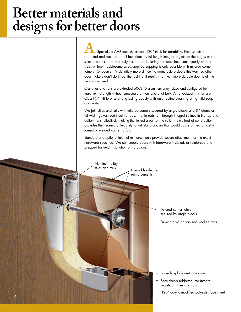# **Better materials and designs for better doors**

**A**ll Special-Lite AMP face sheets are .120" thick for durability. Face sheets are<br>rabbeted and secured on all four sides by full-length integral reglets on the edges of the stiles and rails to form a truly flush door. Securing the face sheet continuously on four sides without troublesome screw-applied capping is only possible with mitered corner joinery. Of course, it's definitely more difficult to manufacture doors this way, so other door makers don't do it. But the fact that it results in a much more durable door is all the reason we need.

Our stiles and rails are extruded 6063-T6 aluminum alloy, sized and configured for maximum strength without unnecessary, non-functional bulk. All anodized finishes are Class I (.7 mil) to ensure long-lasting beauty with only routine cleaning using mild soap and water.

We join stiles and rails with mitered corners secured by angle blocks and %" diameter full-width galvanized steel tie rods. The tie rods run through integral splines in the top and bottom rails, effectively making the tie rod a part of the rail. This method of construction provides the necessary flexibility to withstand abuses that would cause a mechanicallyjoined or welded corner to fail.

Standard and optional internal reinforcements provide secure attachment for the exact hardware specified. We can supply doors with hardware installed, or reinforced and prepped for field installation of hardware.

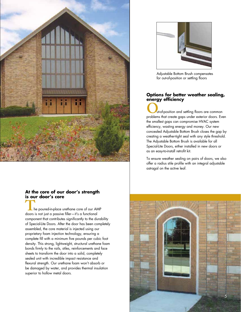

## **At the core of our door's strength is our door's core**

**T**he poured-in-place urethane core of our AMP doors is not just a passive filler—it's a functional component that contributes significantly to the durability of Special-Lite Doors. After the door has been completely assembled, the core material is injected using our proprietary foam injection technology, ensuring a complete fill with a minimum five pounds per cubic foot density. This strong, lightweight, structural urethane foam bonds firmly to the rails, stiles, reinforcements and face sheets to transform the door into a solid, completely sealed unit with incredible impact resistance and flexural strength. Our urethane foam won't absorb or be damaged by water, and provides thermal insulation superior to hollow metal doors.



Adjustable Bottom Brush compensates for out-of-position or settling floors

#### **Options for better weather sealing, energy efficiency**

**OU**ut-of-position and settling floors are common<br>problems that create gaps under exterior doors. Even the smallest gaps can compromise HVAC system efficiency, wasting energy and money. Our new concealed Adjustable Bottom Brush closes the gap by creating a weather-tight seal with any style threshold. The Adjustable Bottom Brush is available for all Special-Lite Doors, either installed in new doors or as an easy-to-install retrofit kit.

To ensure weather sealing on pairs of doors, we also offer a radius stile profile with an integral adjustable astragal on the active leaf.

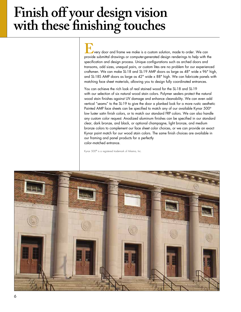# **Finish off your design vision with these finishing touches**

**E a**very door and frame we make is a custom solution, made to order. We can<br>provide submittal drawings or computer-generated design renderings to help with the specification and design process. Unique configurations such as arched doors and transoms, odd sizes, unequal pairs, or custom lites are no problem for our experienced craftsmen. We can make SL-18 and SL-19 AMP doors as large as 48" wide x 96" high, and SL-18S AMP doors as large as 42" wide x 88" high. We can fabricate panels with matching face sheet materials, allowing you to design fully coordinated entrances.

You can achieve the rich look of real stained wood for the SL-18 and SL-19 with our selection of six natural wood stain colors. Polymer sealers protect the natural wood stain finishes against UV damage and enhance cleanability. We can even add vertical "seams" to the SL-19 to give the door a planked look for a more rustic aesthetic Painted AMP face sheets can be specified to match any of our available Kynar 500<sup>®</sup> low luster satin finish colors, or to match our standard FRP colors. We can also handle any custom color request. Anodized aluminum finishes can be specified in our standard clear, dark bronze, and black, or optional champagne, light bronze, and medium bronze colors to complement our face sheet color choices, or we can provide an exact Kynar paint match for our wood stain colors. The same finish choices are available in our framing and panel products for a perfectly color-matched entrance.

Kynar 500® is a registered trademark of Arkema, Inc.

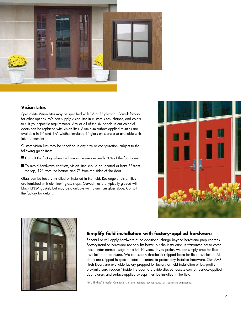

#### **Vision Lites**

Special-Lite Vision Lites may be specified with 1 ⁄4" or 1" glazing. Consult factory for other options. We can supply vision lites in custom sizes, shapes, and colors to suit your specific requirements. Any or all of the six panels in our colonial doors can be replaced with vision lites. Aluminum surface-applied muntins are available in ½" and 1¼" widths. Insulated 1" glass units are also available with internal muntins.

Custom vision lites may be specified in any size or configuration, subject to the following guidelines:

- Consult the factory when total vision lite area exceeds 50% of the foam area.
- To avoid hardware conflicts, vision lites should be located at least 8" from the top, 12" from the bottom and 7" from the sides of the door.

Glass can be factory installed or installed in the field. Rectangular vision lites are furnished with aluminum glass stops. Curved lites are typically glazed with black EPDM gasket, but may be available with aluminum glass stops. Consult the factory for details.





#### **Simplify field installation with factory-applied hardware**

Special-Lite will apply hardware at no additional charge beyond hardware prep charges. Factory-installed hardware not only fits better, but the installation is warranted not to come loose under normal usage for a full 10 years. If you prefer, we can simply prep for field installation of hardware. We can supply thresholds shipped loose for field installation. All doors are shipped in special flotation cartons to protect any installed hardware. Our AMP Flush Doors are available factory prepped for factory or field installation of low-profile proximity card readers\* inside the door to provide discreet access control. Surface-applied door closers and surface-applied sweeps must be installed in the field.

\*HID Thinline® II reader. Compatibility of other readers requires review by Special-Lite engineering.